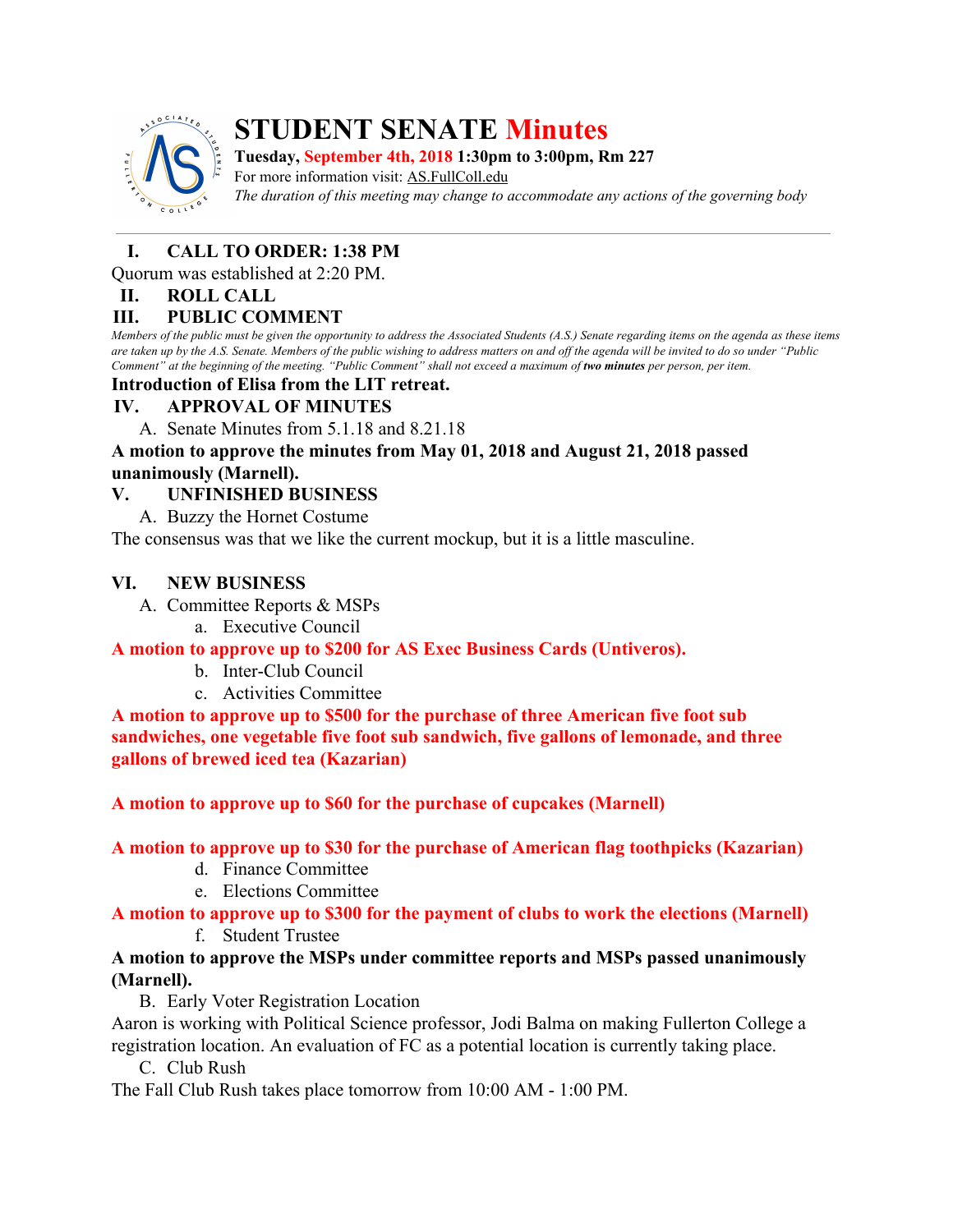

# **STUDENT SENATE Minutes**

**Tuesday, September 4th, 2018 1:30pm to 3:00pm, Rm 227**

For more information visit: AS.FullColl.edu *The duration of this meeting may change to accommodate any actions of the governing body*

# **I. CALL TO ORDER: 1:38 PM**

Quorum was established at 2:20 PM.

#### **II. ROLL CALL**

#### **III. PUBLIC COMMENT**

Members of the public must be given the opportunity to address the Associated Students (A.S.) Senate regarding items on the agenda as these items are taken up by the A.S. Senate. Members of the public wishing to address matters on and off the agenda will be invited to do so under "Public Comment" at the beginning of the meeting. "Public Comment" shall not exceed a maximum of two minutes per person, per item.

#### **Introduction of Elisa from the LIT retreat.**

#### **IV. APPROVAL OF MINUTES**

A. Senate Minutes from 5.1.18 and 8.21.18

#### **A motion to approve the minutes from May 01, 2018 and August 21, 2018 passed unanimously (Marnell).**

# **V. UNFINISHED BUSINESS**

A. Buzzy the Hornet Costume

The consensus was that we like the current mockup, but it is a little masculine.

# **VI. NEW BUSINESS**

- A. Committee Reports & MSPs
	- a. Executive Council

**A motion to approve up to \$200 for AS Exec Business Cards (Untiveros).**

- b. Inter-Club Council
- c. Activities Committee

**A motion to approve up to \$500 for the purchase of three American five foot sub sandwiches, one vegetable five foot sub sandwich, five gallons of lemonade, and three gallons of brewed iced tea (Kazarian)**

**A motion to approve up to \$60 for the purchase of cupcakes (Marnell)**

#### **A motion to approve up to \$30 for the purchase of American flag toothpicks (Kazarian)**

- d. Finance Committee
- e. Elections Committee

# **A motion to approve up to \$300 for the payment of clubs to work the elections (Marnell)**

f. Student Trustee

# **A motion to approve the MSPs under committee reports and MSPs passed unanimously (Marnell).**

B. Early Voter Registration Location

Aaron is working with Political Science professor, Jodi Balma on making Fullerton College a registration location. An evaluation of FC as a potential location is currently taking place.

C. Club Rush

The Fall Club Rush takes place tomorrow from 10:00 AM - 1:00 PM.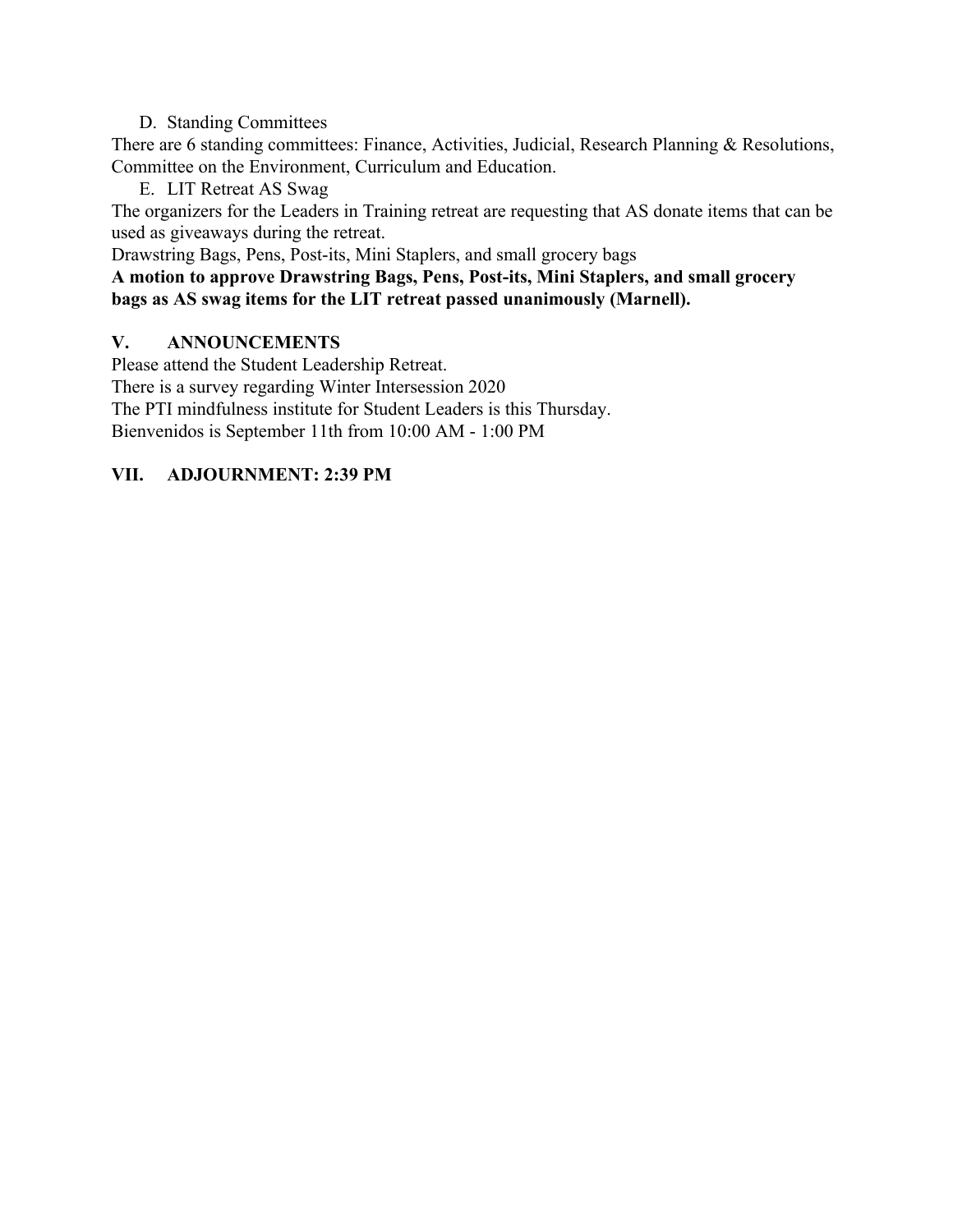#### D. Standing Committees

There are 6 standing committees: Finance, Activities, Judicial, Research Planning & Resolutions, Committee on the Environment, Curriculum and Education.

E. LIT Retreat AS Swag

The organizers for the Leaders in Training retreat are requesting that AS donate items that can be used as giveaways during the retreat.

Drawstring Bags, Pens, Post-its, Mini Staplers, and small grocery bags

**A motion to approve Drawstring Bags, Pens, Post-its, Mini Staplers, and small grocery bags as AS swag items for the LIT retreat passed unanimously (Marnell).**

# **V. ANNOUNCEMENTS**

Please attend the Student Leadership Retreat.

There is a survey regarding Winter Intersession 2020

The PTI mindfulness institute for Student Leaders is this Thursday.

Bienvenidos is September 11th from 10:00 AM - 1:00 PM

# **VII. ADJOURNMENT: 2:39 PM**